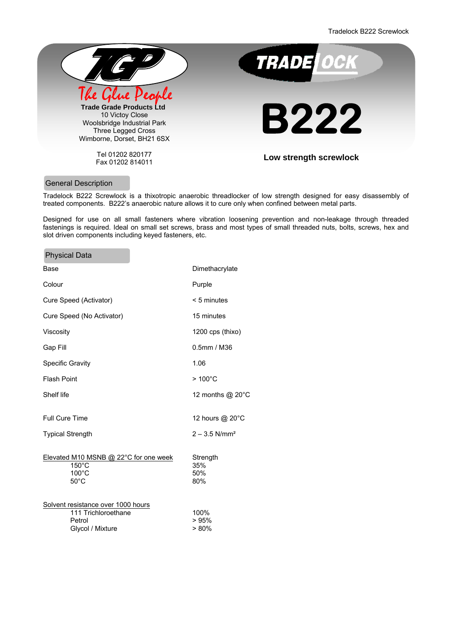Tradelock B222 Screwlock



Tel 01202 820177 Fax 01202 814011



**Low strength screwlock** 

# General Description

 $\sim$ 

Tradelock B222 Screwlock is a thixotropic anaerobic threadlocker of low strength designed for easy disassembly of treated components. B222's anaerobic nature allows it to cure only when confined between metal parts.

Designed for use on all small fasteners where vibration loosening prevention and non-leakage through threaded fastenings is required. Ideal on small set screws, brass and most types of small threaded nuts, bolts, screws, hex and slot driven components including keyed fasteners, etc.

| <b>Physical Data</b>                                                                    |                               |
|-----------------------------------------------------------------------------------------|-------------------------------|
| Base                                                                                    | Dimethacrylate                |
| Colour                                                                                  | Purple                        |
| Cure Speed (Activator)                                                                  | $< 5$ minutes                 |
| Cure Speed (No Activator)                                                               | 15 minutes                    |
| Viscosity                                                                               | $1200$ cps (thixo)            |
| Gap Fill                                                                                | $0.5$ mm / M36                |
| <b>Specific Gravity</b>                                                                 | 1.06                          |
| <b>Flash Point</b>                                                                      | $>100^{\circ}$ C              |
| Shelf life                                                                              | 12 months @ 20°C              |
| <b>Full Cure Time</b>                                                                   | 12 hours @ 20°C               |
| <b>Typical Strength</b>                                                                 | $2 - 3.5$ N/mm <sup>2</sup>   |
| Elevated M10 MSNB @ 22°C for one week<br>$150^{\circ}$ C<br>100°C<br>$50^{\circ}$ C     | Strength<br>35%<br>50%<br>80% |
| Solvent resistance over 1000 hours<br>111 Trichloroethane<br>Petrol<br>Glycol / Mixture | 100%<br>>95%<br>>80%          |